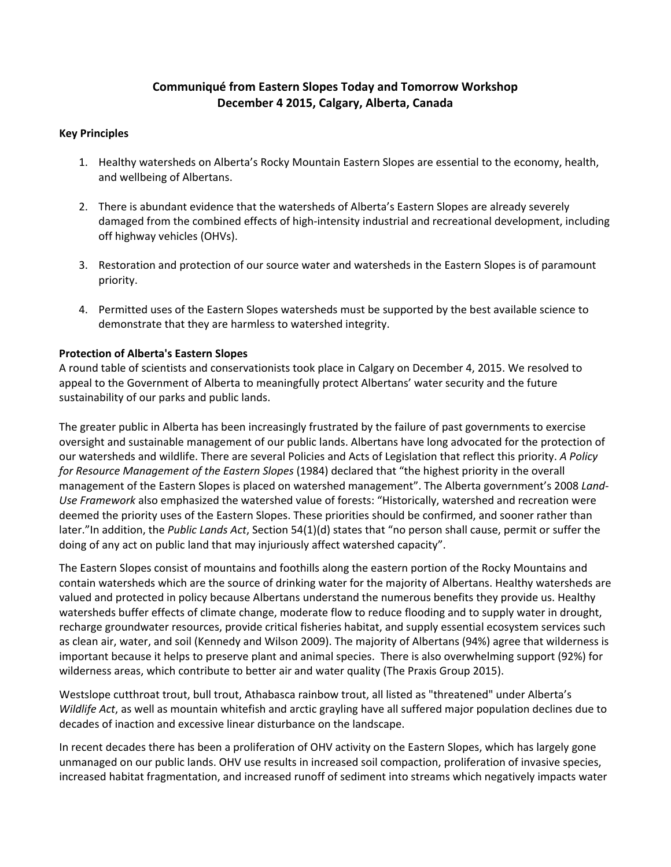# **Communiqué from Eastern Slopes Today and Tomorrow Workshop December 4 2015, Calgary, Alberta, Canada**

#### **Key Principles**

- 1. Healthy watersheds on Alberta's Rocky Mountain Eastern Slopes are essential to the economy, health, and wellbeing of Albertans.
- 2. There is abundant evidence that the watersheds of Alberta's Eastern Slopes are already severely damaged from the combined effects of high-intensity industrial and recreational development, including off highway vehicles (OHVs).
- 3. Restoration and protection of our source water and watersheds in the Eastern Slopes is of paramount priority.
- 4. Permitted uses of the Eastern Slopes watersheds must be supported by the best available science to demonstrate that they are harmless to watershed integrity.

# **Protection of Alberta's Eastern Slopes**

A round table of scientists and conservationists took place in Calgary on December 4, 2015. We resolved to appeal to the Government of Alberta to meaningfully protect Albertans' water security and the future sustainability of our parks and public lands.

The greater public in Alberta has been increasingly frustrated by the failure of past governments to exercise oversight and sustainable management of our public lands. Albertans have long advocated for the protection of our watersheds and wildlife. There are several Policies and Acts of Legislation that reflect this priority. *A Policy for Resource Management of the Eastern Slopes* (1984) declared that "the highest priority in the overall management of the Eastern Slopes is placed on watershed management". The Alberta government's 2008 *Land-Use Framework* also emphasized the watershed value of forests: "Historically, watershed and recreation were deemed the priority uses of the Eastern Slopes. These priorities should be confirmed, and sooner rather than later."In addition, the *Public Lands Act*, Section 54(1)(d) states that "no person shall cause, permit or suffer the doing of any act on public land that may injuriously affect watershed capacity".

The Eastern Slopes consist of mountains and foothills along the eastern portion of the Rocky Mountains and contain watersheds which are the source of drinking water for the majority of Albertans. Healthy watersheds are valued and protected in policy because Albertans understand the numerous benefits they provide us. Healthy watersheds buffer effects of climate change, moderate flow to reduce flooding and to supply water in drought, recharge groundwater resources, provide critical fisheries habitat, and supply essential ecosystem services such as clean air, water, and soil (Kennedy and Wilson 2009). The majority of Albertans (94%) agree that wilderness is important because it helps to preserve plant and animal species. There is also overwhelming support (92%) for wilderness areas, which contribute to better air and water quality (The Praxis Group 2015).

Westslope cutthroat trout, bull trout, Athabasca rainbow trout, all listed as "threatened" under Alberta's *Wildlife Act*, as well as mountain whitefish and arctic grayling have all suffered major population declines due to decades of inaction and excessive linear disturbance on the landscape.

In recent decades there has been a proliferation of OHV activity on the Eastern Slopes, which has largely gone unmanaged on our public lands. OHV use results in increased soil compaction, proliferation of invasive species, increased habitat fragmentation, and increased runoff of sediment into streams which negatively impacts water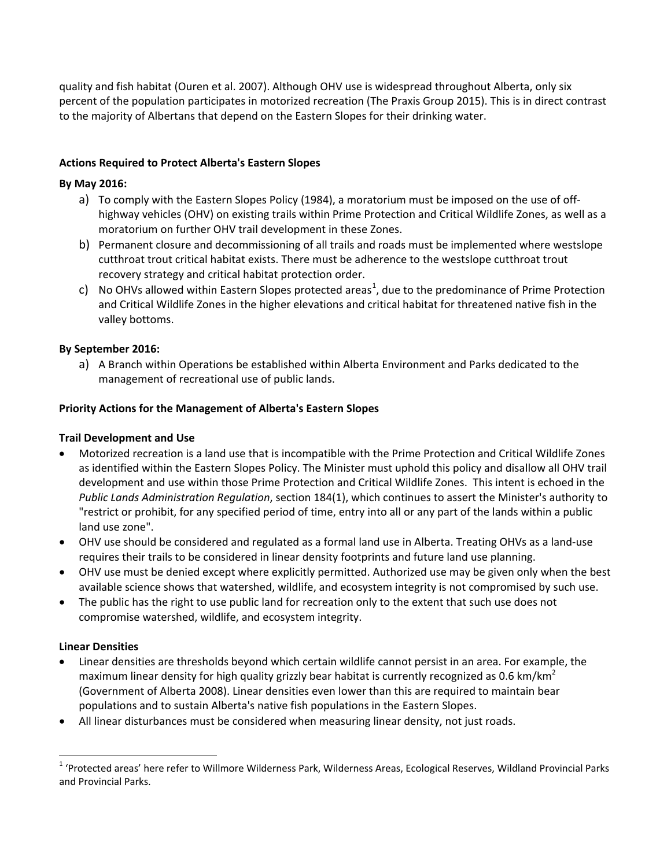quality and fish habitat (Ouren et al. 2007). Although OHV use is widespread throughout Alberta, only six percent of the population participates in motorized recreation (The Praxis Group 2015). This is in direct contrast to the majority of Albertans that depend on the Eastern Slopes for their drinking water.

# **Actions Required to Protect Alberta's Eastern Slopes**

# **By May 2016:**

- a) To comply with the Eastern Slopes Policy (1984), a moratorium must be imposed on the use of offhighway vehicles (OHV) on existing trails within Prime Protection and Critical Wildlife Zones, as well as a moratorium on further OHV trail development in these Zones.
- b) Permanent closure and decommissioning of all trails and roads must be implemented where westslope cutthroat trout critical habitat exists. There must be adherence to the westslope cutthroat trout recovery strategy and critical habitat protection order.
- c) No OHVs allowed within Eastern Slopes protected areas<sup>[1](#page-1-0)</sup>, due to the predominance of Prime Protection and Critical Wildlife Zones in the higher elevations and critical habitat for threatened native fish in the valley bottoms.

# **By September 2016:**

a) A Branch within Operations be established within Alberta Environment and Parks dedicated to the management of recreational use of public lands.

#### **Priority Actions for the Management of Alberta's Eastern Slopes**

### **Trail Development and Use**

- Motorized recreation is a land use that is incompatible with the Prime Protection and Critical Wildlife Zones as identified within the Eastern Slopes Policy. The Minister must uphold this policy and disallow all OHV trail development and use within those Prime Protection and Critical Wildlife Zones. This intent is echoed in the *Public Lands Administration Regulation*, section 184(1), which continues to assert the Minister's authority to "restrict or prohibit, for any specified period of time, entry into all or any part of the lands within a public land use zone".
- OHV use should be considered and regulated as a formal land use in Alberta. Treating OHVs as a land-use requires their trails to be considered in linear density footprints and future land use planning.
- OHV use must be denied except where explicitly permitted. Authorized use may be given only when the best available science shows that watershed, wildlife, and ecosystem integrity is not compromised by such use.
- The public has the right to use public land for recreation only to the extent that such use does not compromise watershed, wildlife, and ecosystem integrity.

#### **Linear Densities**

- Linear densities are thresholds beyond which certain wildlife cannot persist in an area. For example, the maximum linear density for high quality grizzly bear habitat is currently recognized as 0.6 km/km<sup>2</sup> (Government of Alberta 2008). Linear densities even lower than this are required to maintain bear populations and to sustain Alberta's native fish populations in the Eastern Slopes.
- All linear disturbances must be considered when measuring linear density, not just roads.

<span id="page-1-0"></span><sup>&</sup>lt;sup>1</sup> 'Protected areas' here refer to Willmore Wilderness Park, Wilderness Areas, Ecological Reserves, Wildland Provincial Parks and Provincial Parks.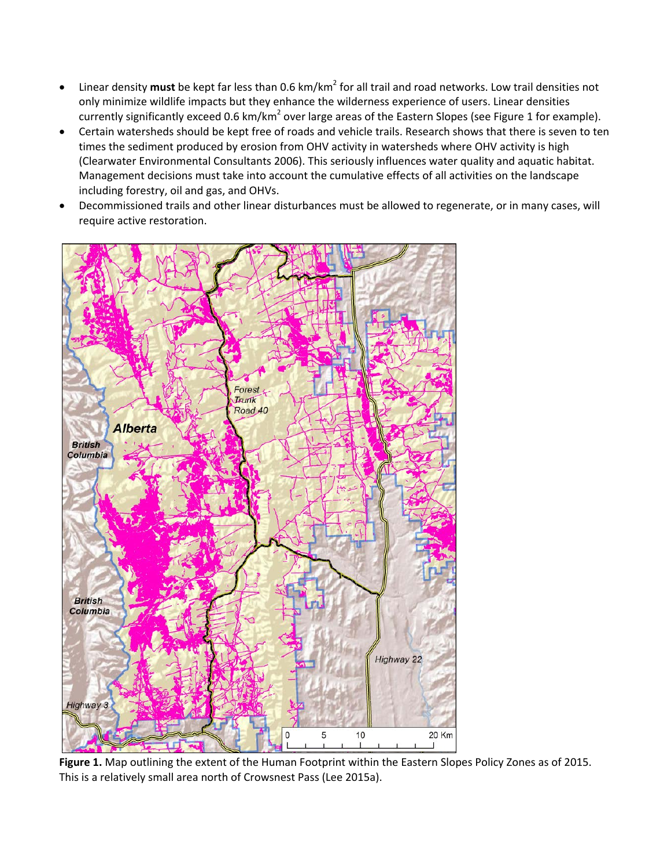- Linear density **must** be kept far less than 0.6 km/km<sup>2</sup> for all trail and road networks. Low trail densities not only minimize wildlife impacts but they enhance the wilderness experience of users. Linear densities currently significantly exceed 0.6 km/km<sup>2</sup> over large areas of the Eastern Slopes (see Figure 1 for example).
- Certain watersheds should be kept free of roads and vehicle trails. Research shows that there is seven to ten times the sediment produced by erosion from OHV activity in watersheds where OHV activity is high (Clearwater Environmental Consultants 2006). This seriously influences water quality and aquatic habitat. Management decisions must take into account the cumulative effects of all activities on the landscape including forestry, oil and gas, and OHVs.
- Decommissioned trails and other linear disturbances must be allowed to regenerate, or in many cases, will require active restoration.



**Figure 1.** Map outlining the extent of the Human Footprint within the Eastern Slopes Policy Zones as of 2015. This is a relatively small area north of Crowsnest Pass (Lee 2015a).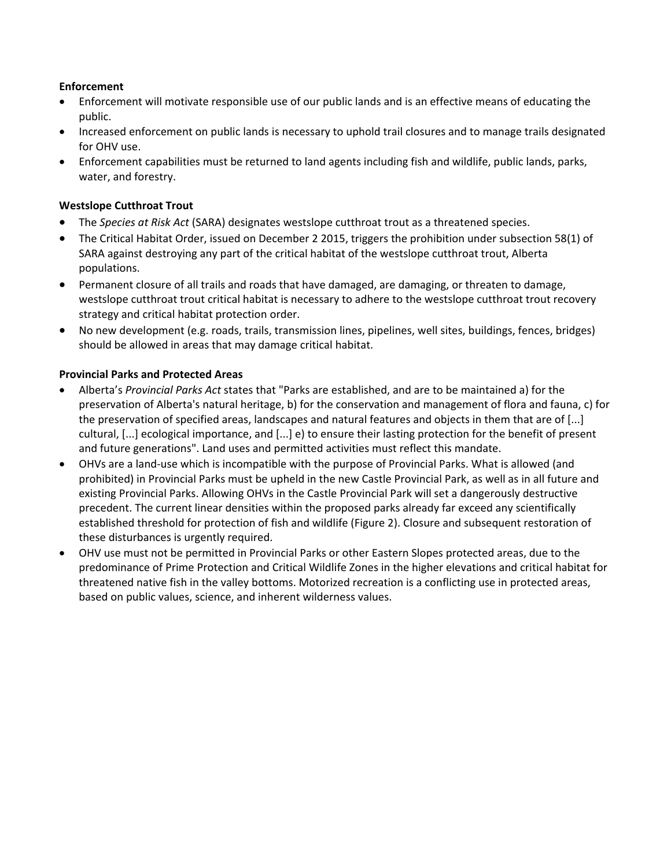# **Enforcement**

- Enforcement will motivate responsible use of our public lands and is an effective means of educating the public.
- Increased enforcement on public lands is necessary to uphold trail closures and to manage trails designated for OHV use.
- Enforcement capabilities must be returned to land agents including fish and wildlife, public lands, parks, water, and forestry.

# **Westslope Cutthroat Trout**

- The *Species at Risk Act* (SARA) designates westslope cutthroat trout as a threatened species.
- The Critical Habitat Order, issued on December 2 2015, triggers the prohibition under subsection 58(1) of SARA against destroying any part of the critical habitat of the westslope cutthroat trout, Alberta populations.
- Permanent closure of all trails and roads that have damaged, are damaging, or threaten to damage, westslope cutthroat trout critical habitat is necessary to adhere to the westslope cutthroat trout recovery strategy and critical habitat protection order.
- No new development (e.g. roads, trails, transmission lines, pipelines, well sites, buildings, fences, bridges) should be allowed in areas that may damage critical habitat.

# **Provincial Parks and Protected Areas**

- Alberta's *Provincial Parks Act* states that "Parks are established, and are to be maintained a) for the preservation of Alberta's natural heritage, b) for the conservation and management of flora and fauna, c) for the preservation of specified areas, landscapes and natural features and objects in them that are of [...] cultural, [...] ecological importance, and [...] e) to ensure their lasting protection for the benefit of present and future generations". Land uses and permitted activities must reflect this mandate.
- OHVs are a land-use which is incompatible with the purpose of Provincial Parks. What is allowed (and prohibited) in Provincial Parks must be upheld in the new Castle Provincial Park, as well as in all future and existing Provincial Parks. Allowing OHVs in the Castle Provincial Park will set a dangerously destructive precedent. The current linear densities within the proposed parks already far exceed any scientifically established threshold for protection of fish and wildlife (Figure 2). Closure and subsequent restoration of these disturbances is urgently required.
- OHV use must not be permitted in Provincial Parks or other Eastern Slopes protected areas, due to the predominance of Prime Protection and Critical Wildlife Zones in the higher elevations and critical habitat for threatened native fish in the valley bottoms. Motorized recreation is a conflicting use in protected areas, based on public values, science, and inherent wilderness values.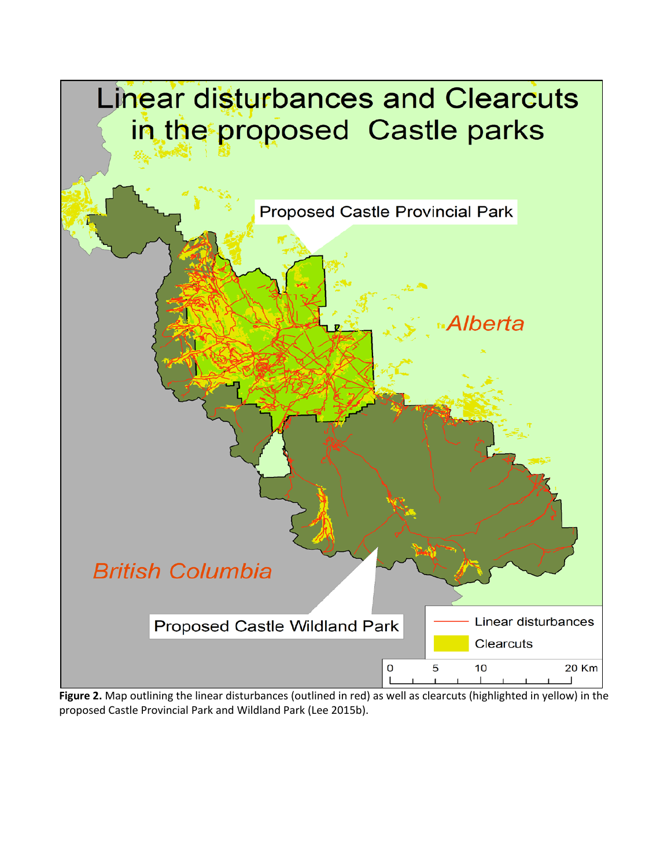

**Figure 2.** Map outlining the linear disturbances (outlined in red) as well as clearcuts (highlighted in yellow) in the proposed Castle Provincial Park and Wildland Park (Lee 2015b).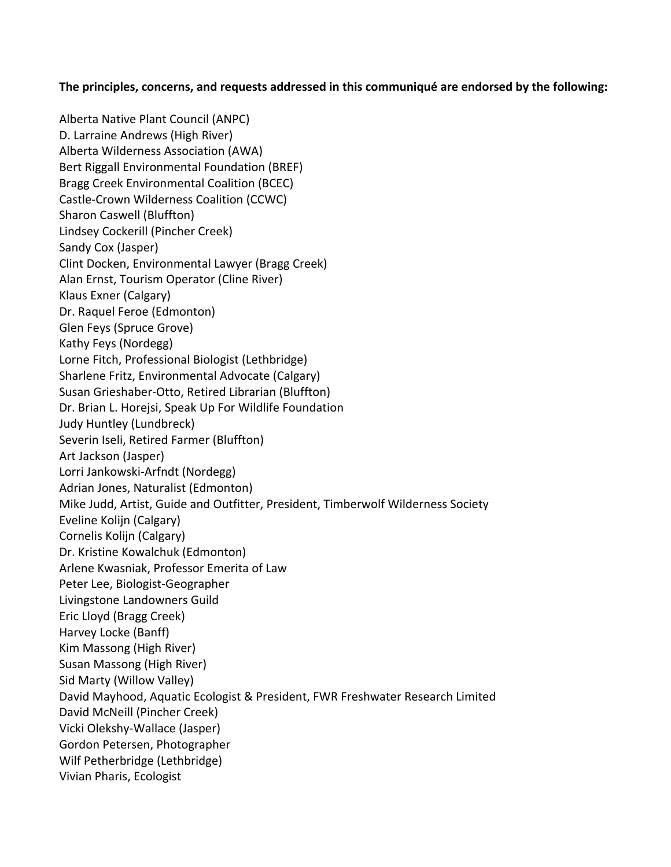# **The principles, concerns, and requests addressed in this communiqué are endorsed by the following:**

Alberta Native Plant Council (ANPC) D. Larraine Andrews (High River) Alberta Wilderness Association (AWA) Bert Riggall Environmental Foundation (BREF) Bragg Creek Environmental Coalition (BCEC) Castle-Crown Wilderness Coalition (CCWC) Sharon Caswell (Bluffton) Lindsey Cockerill (Pincher Creek) Sandy Cox (Jasper) Clint Docken, Environmental Lawyer (Bragg Creek) Alan Ernst, Tourism Operator (Cline River) Klaus Exner (Calgary) Dr. Raquel Feroe (Edmonton) Glen Feys (Spruce Grove) Kathy Feys (Nordegg) Lorne Fitch, Professional Biologist (Lethbridge) Sharlene Fritz, Environmental Advocate (Calgary) Susan Grieshaber-Otto, Retired Librarian (Bluffton) Dr. Brian L. Horejsi, Speak Up For Wildlife Foundation Judy Huntley (Lundbreck) Severin Iseli, Retired Farmer (Bluffton) Art Jackson (Jasper) Lorri Jankowski-Arfndt (Nordegg) Adrian Jones, Naturalist (Edmonton) Mike Judd, Artist, Guide and Outfitter, President, Timberwolf Wilderness Society Eveline Kolijn (Calgary) Cornelis Kolijn (Calgary) Dr. Kristine Kowalchuk (Edmonton) Arlene Kwasniak, Professor Emerita of Law Peter Lee, Biologist-Geographer Livingstone Landowners Guild Eric Lloyd (Bragg Creek) Harvey Locke (Banff) Kim Massong (High River) Susan Massong (High River) Sid Marty (Willow Valley) David Mayhood, Aquatic Ecologist & President, FWR Freshwater Research Limited David McNeill (Pincher Creek) Vicki Olekshy-Wallace (Jasper) Gordon Petersen, Photographer Wilf Petherbridge (Lethbridge) Vivian Pharis, Ecologist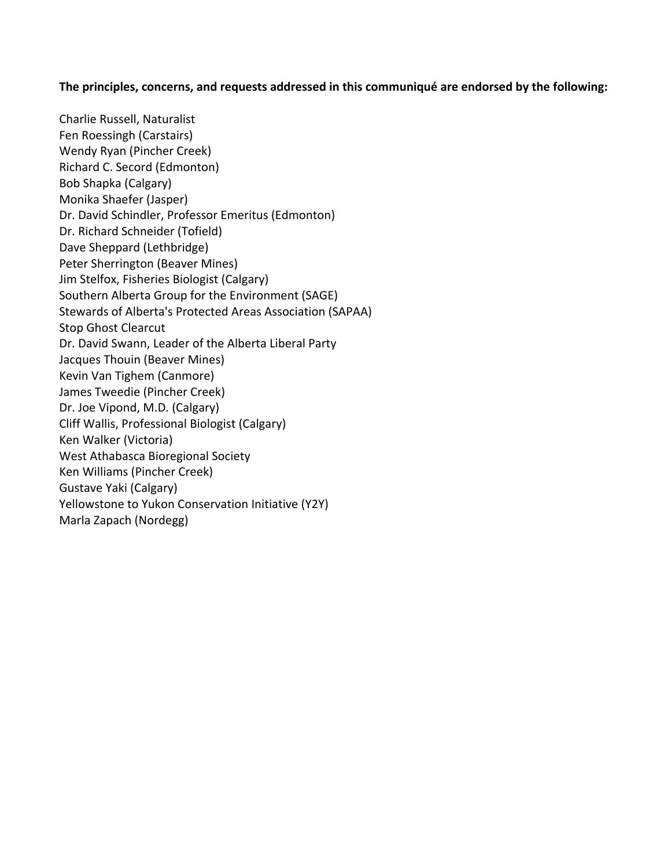# **The principles, concerns, and requests addressed in this communiqué are endorsed by the following:**

Charlie Russell, Naturalist Fen Roessingh (Carstairs) Wendy Ryan (Pincher Creek) Richard C. Secord (Edmonton) Bob Shapka (Calgary) Monika Shaefer (Jasper) Dr. David Schindler, Professor Emeritus (Edmonton) Dr. Richard Schneider (Tofield) Dave Sheppard (Lethbridge) Peter Sherrington (Beaver Mines) Jim Stelfox, Fisheries Biologist (Calgary) Southern Alberta Group for the Environment (SAGE) Stewards of Alberta's Protected Areas Association (SAPAA) Stop Ghost Clearcut Dr. David Swann, Leader of the Alberta Liberal Party Jacques Thouin (Beaver Mines) Kevin Van Tighem (Canmore) James Tweedie (Pincher Creek) Dr. Joe Vipond, M.D. (Calgary) Cliff Wallis, Professional Biologist (Calgary) Ken Walker (Victoria) West Athabasca Bioregional Society Ken Williams (Pincher Creek) Gustave Yaki (Calgary) Yellowstone to Yukon Conservation Initiative (Y2Y) Marla Zapach (Nordegg)